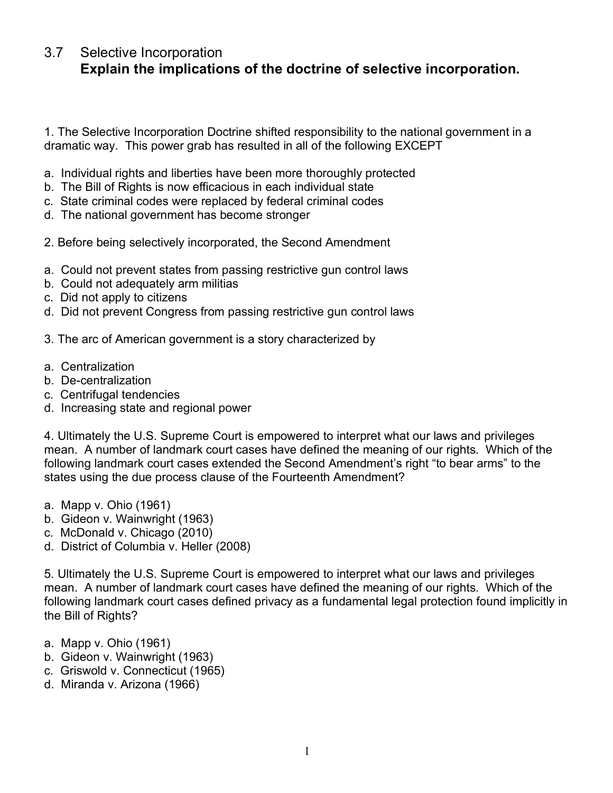## 3.7 Selective Incorporation **Explain the implications of the doctrine of selective incorporation.**

1. The Selective Incorporation Doctrine shifted responsibility to the national government in a dramatic way. This power grab has resulted in all of the following EXCEPT

- a. Individual rights and liberties have been more thoroughly protected
- b. The Bill of Rights is now efficacious in each individual state
- c. State criminal codes were replaced by federal criminal codes
- d. The national government has become stronger
- 2. Before being selectively incorporated, the Second Amendment
- a. Could not prevent states from passing restrictive gun control laws
- b. Could not adequately arm militias
- c. Did not apply to citizens
- d. Did not prevent Congress from passing restrictive gun control laws
- 3. The arc of American government is a story characterized by
- a. Centralization
- b. De-centralization
- c. Centrifugal tendencies
- d. Increasing state and regional power

4. Ultimately the U.S. Supreme Court is empowered to interpret what our laws and privileges mean. A number of landmark court cases have defined the meaning of our rights. Which of the following landmark court cases extended the Second Amendment's right "to bear arms" to the states using the due process clause of the Fourteenth Amendment?

- a. Mapp v. Ohio (1961)
- b. Gideon v. Wainwright (1963)
- c. McDonald v. Chicago (2010)
- d. District of Columbia v. Heller (2008)

5. Ultimately the U.S. Supreme Court is empowered to interpret what our laws and privileges mean. A number of landmark court cases have defined the meaning of our rights. Which of the following landmark court cases defined privacy as a fundamental legal protection found implicitly in the Bill of Rights?

- a. Mapp v. Ohio (1961)
- b. Gideon v. Wainwright (1963)
- c. Griswold v. Connecticut (1965)
- d. Miranda v. Arizona (1966)